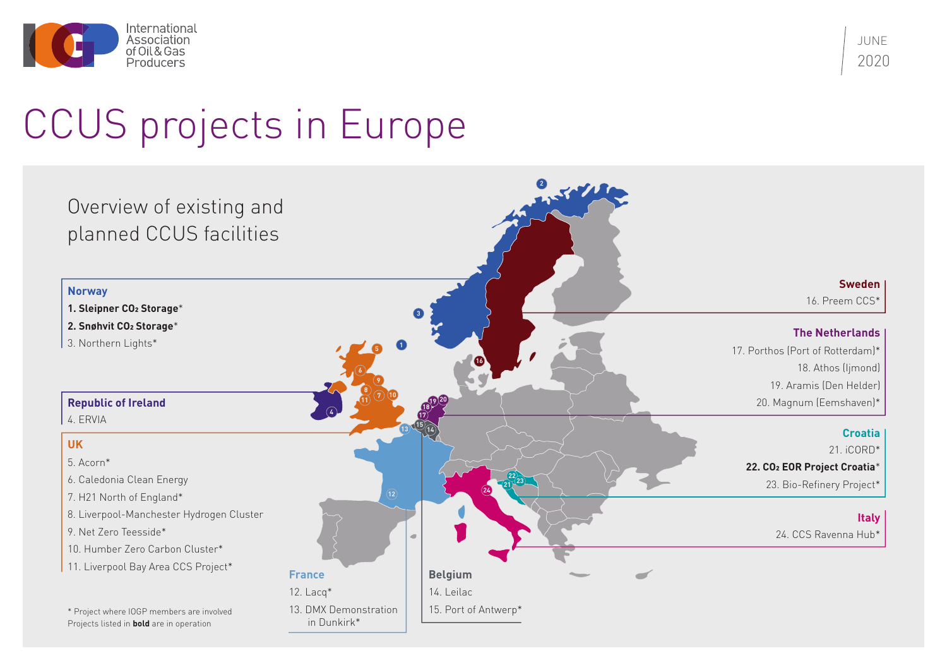# JUNE 2020



# CCUS projects in Europe

in Dunkirk\*

### **The Netherlands**

17. Porthos (Port of Rotterdam)\* 18. Athos (Ijmond) 19. Aramis (Den Helder) 20. Magnum (Eemshaven)\*



#### **Sweden**

16. Preem CCS\*

#### **Croatia**

21. iCORD\* **22. CO2 EOR Project Croatia**\*

23. Bio-Refinery Project\*

## **Italy**

24. CCS Ravenna Hub\*

\* Project where IOGP members are involved Projects listed in **bold** are in operation